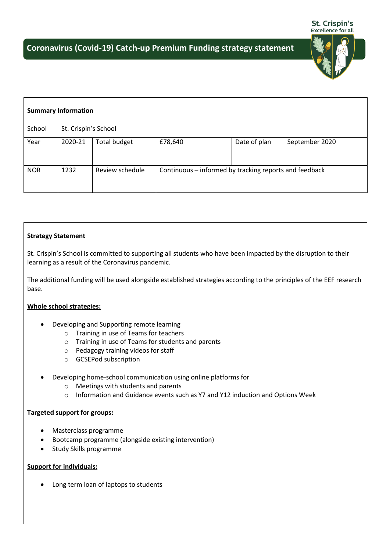

| <b>Summary Information</b> |                      |                     |                                                        |              |                |  |  |  |  |  |  |
|----------------------------|----------------------|---------------------|--------------------------------------------------------|--------------|----------------|--|--|--|--|--|--|
| School                     | St. Crispin's School |                     |                                                        |              |                |  |  |  |  |  |  |
| Year                       | 2020-21              | <b>Total budget</b> | £78,640                                                | Date of plan | September 2020 |  |  |  |  |  |  |
| <b>NOR</b>                 | 1232                 | Review schedule     | Continuous - informed by tracking reports and feedback |              |                |  |  |  |  |  |  |

## **Strategy Statement**

St. Crispin's School is committed to supporting all students who have been impacted by the disruption to their learning as a result of the Coronavirus pandemic.

The additional funding will be used alongside established strategies according to the principles of the EEF research base.

## **Whole school strategies:**

- Developing and Supporting remote learning
	- o Training in use of Teams for teachers
	- o Training in use of Teams for students and parents
	- o Pedagogy training videos for staff
	- o GCSEPod subscription
- Developing home-school communication using online platforms for
	- o Meetings with students and parents
	- o Information and Guidance events such as Y7 and Y12 induction and Options Week

## **Targeted support for groups:**

- Masterclass programme
- Bootcamp programme (alongside existing intervention)
- Study Skills programme

## **Support for individuals:**

Long term loan of laptops to students